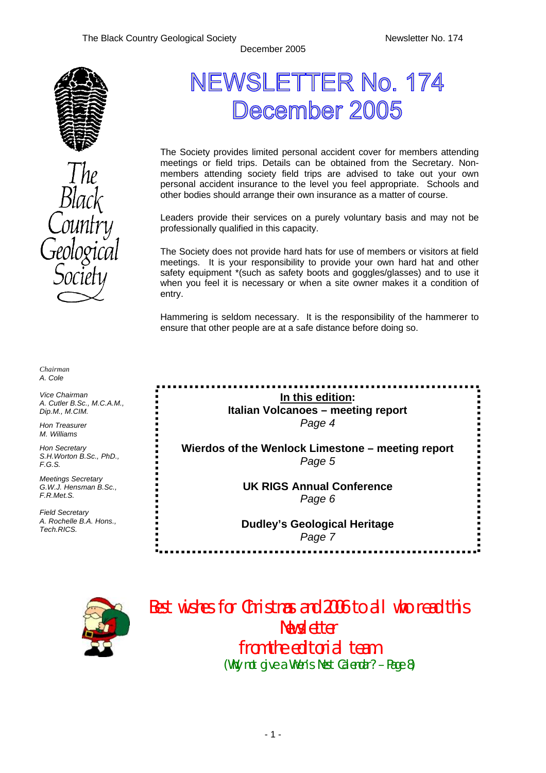

# NEWSLETTER No. 174 December 2005

December 2005

The Society provides limited personal accident cover for members attending meetings or field trips. Details can be obtained from the Secretary. Nonmembers attending society field trips are advised to take out your own personal accident insurance to the level you feel appropriate. Schools and other bodies should arrange their own insurance as a matter of course.

Leaders provide their services on a purely voluntary basis and may not be professionally qualified in this capacity.

The Society does not provide hard hats for use of members or visitors at field meetings. It is your responsibility to provide your own hard hat and other safety equipment \*(such as safety boots and goggles/glasses) and to use it when you feel it is necessary or when a site owner makes it a condition of entry.

Hammering is seldom necessary. It is the responsibility of the hammerer to ensure that other people are at a safe distance before doing so.

*Chairman A. Cole*

*Vice Chairman A. Cutler B.Sc., M.C.A.M., Dip.M., M.CIM.*

*Hon Treasurer M. Williams* 

*Hon Secretary S.H.Worton B.Sc., PhD., F.G.S.*

*Meetings Secretary G.W.J. Hensman B.Sc., F.R.Met.S.*

*Field Secretary A. Rochelle B.A. Hons., Tech.RICS.*

**In this edition: Italian Volcanoes – meeting report** *Page 4*

**Wierdos of the Wenlock Limestone – meeting report** *Page 5*

> **UK RIGS Annual Conference** *Page 6*

> **Dudley's Geological Heritage** *Page 7*



Best wishes for Christmas and 2006 to all who read this News letter from the editorial team (Why not give a Wien's Nest Calenchar? – Page 8)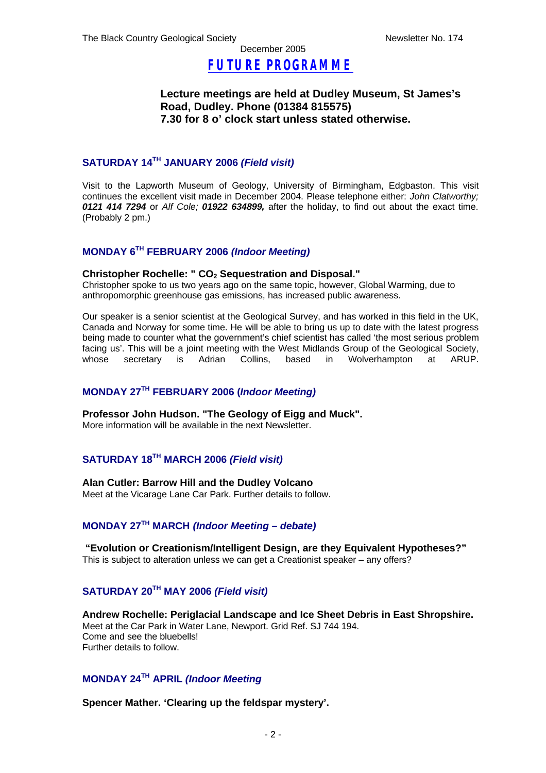### December 2005 *FUTURE PROGRAMME*

#### **Lecture meetings are held at Dudley Museum, St James's Road, Dudley. Phone (01384 815575) 7.30 for 8 o' clock start unless stated otherwise.**

#### **SATURDAY 14TH JANUARY 2006** *(Field visit)*

Visit to the Lapworth Museum of Geology, University of Birmingham, Edgbaston. This visit continues the excellent visit made in December 2004. Please telephone either: *John Clatworthy; 0121 414 7294* or *Alf Cole; 01922 634899,* after the holiday, to find out about the exact time. (Probably 2 pm.)

#### **MONDAY 6TH FEBRUARY 2006** *(Indoor Meeting)*

#### **Christopher Rochelle: " CO2 Sequestration and Disposal."**

Christopher spoke to us two years ago on the same topic, however, Global Warming, due to anthropomorphic greenhouse gas emissions, has increased public awareness.

Our speaker is a senior scientist at the Geological Survey, and has worked in this field in the UK, Canada and Norway for some time. He will be able to bring us up to date with the latest progress being made to counter what the government's chief scientist has called 'the most serious problem facing us'. This will be a joint meeting with the West Midlands Group of the Geological Society, whose secretary is Adrian Collins, based in Wolverhampton at ARUP.

### **MONDAY 27TH FEBRUARY 2006 (***Indoor Meeting)*

**Professor John Hudson. "The Geology of Eigg and Muck".**

More information will be available in the next Newsletter.

### **SATURDAY 18TH MARCH 2006** *(Field visit)*

**Alan Cutler: Barrow Hill and the Dudley Volcano** Meet at the Vicarage Lane Car Park. Further details to follow.

#### **MONDAY 27TH MARCH** *(Indoor Meeting – debate)*

 **"Evolution or Creationism/Intelligent Design, are they Equivalent Hypotheses?"** This is subject to alteration unless we can get a Creationist speaker – any offers?

#### **SATURDAY 20TH MAY 2006** *(Field visit)*

**Andrew Rochelle: Periglacial Landscape and Ice Sheet Debris in East Shropshire.** Meet at the Car Park in Water Lane, Newport. Grid Ref. SJ 744 194. Come and see the bluebells! Further details to follow.

#### **MONDAY 24TH APRIL** *(Indoor Meeting*

**Spencer Mather. 'Clearing up the feldspar mystery'.**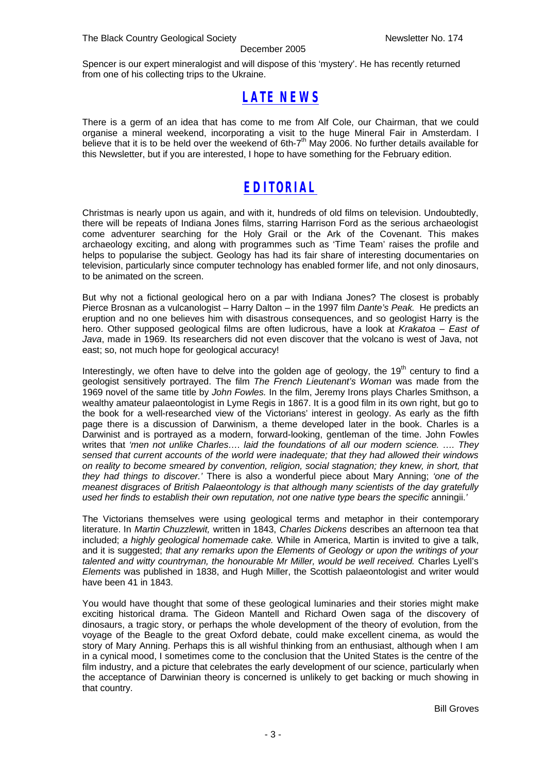Spencer is our expert mineralogist and will dispose of this 'mystery'. He has recently returned from one of his collecting trips to the Ukraine.

### *LATE NEWS*

There is a germ of an idea that has come to me from Alf Cole, our Chairman, that we could organise a mineral weekend, incorporating a visit to the huge Mineral Fair in Amsterdam. I believe that it is to be held over the weekend of 6th-7<sup>th</sup> May 2006. No further details available for this Newsletter, but if you are interested, I hope to have something for the February edition.

## *EDITORIAL*

Christmas is nearly upon us again, and with it, hundreds of old films on television. Undoubtedly, there will be repeats of Indiana Jones films, starring Harrison Ford as the serious archaeologist come adventurer searching for the Holy Grail or the Ark of the Covenant. This makes archaeology exciting, and along with programmes such as 'Time Team' raises the profile and helps to popularise the subject. Geology has had its fair share of interesting documentaries on television, particularly since computer technology has enabled former life, and not only dinosaurs, to be animated on the screen.

But why not a fictional geological hero on a par with Indiana Jones? The closest is probably Pierce Brosnan as a vulcanologist – Harry Dalton – in the 1997 film *Dante's Peak.* He predicts an eruption and no one believes him with disastrous consequences, and so geologist Harry is the hero. Other supposed geological films are often ludicrous, have a look at *Krakatoa – East of Java*, made in 1969. Its researchers did not even discover that the volcano is west of Java, not east; so, not much hope for geological accuracy!

Interestingly, we often have to delve into the golden age of geology, the  $19<sup>th</sup>$  century to find a geologist sensitively portrayed. The film *The French Lieutenant's Woman* was made from the 1969 novel of the same title by *John Fowles.* In the film, Jeremy Irons plays Charles Smithson, a wealthy amateur palaeontologist in Lyme Regis in 1867. It is a good film in its own right, but go to the book for a well-researched view of the Victorians' interest in geology. As early as the fifth page there is a discussion of Darwinism, a theme developed later in the book. Charles is a Darwinist and is portrayed as a modern, forward-looking, gentleman of the time. John Fowles writes that *'men not unlike Charles…. laid the foundations of all our modern science. …. They sensed that current accounts of the world were inadequate; that they had allowed their windows on reality to become smeared by convention, religion, social stagnation; they knew, in short, that they had things to discover.'* There is also a wonderful piece about Mary Anning; *'one of the meanest disgraces of British Palaeontology is that although many scientists of the day gratefully used her finds to establish their own reputation, not one native type bears the specific* anningii.*'*

The Victorians themselves were using geological terms and metaphor in their contemporary literature. In *Martin Chuzzlewit,* written in 1843, *Charles Dickens* describes an afternoon tea that included; *a highly geological homemade cake.* While in America, Martin is invited to give a talk, and it is suggested; *that any remarks upon the Elements of Geology or upon the writings of your talented and witty countryman, the honourable Mr Miller, would be well received.* Charles Lyell's *Elements* was published in 1838, and Hugh Miller, the Scottish palaeontologist and writer would have been 41 in 1843.

You would have thought that some of these geological luminaries and their stories might make exciting historical drama. The Gideon Mantell and Richard Owen saga of the discovery of dinosaurs, a tragic story, or perhaps the whole development of the theory of evolution, from the voyage of the Beagle to the great Oxford debate, could make excellent cinema, as would the story of Mary Anning. Perhaps this is all wishful thinking from an enthusiast, although when I am in a cynical mood, I sometimes come to the conclusion that the United States is the centre of the film industry, and a picture that celebrates the early development of our science, particularly when the acceptance of Darwinian theory is concerned is unlikely to get backing or much showing in that country.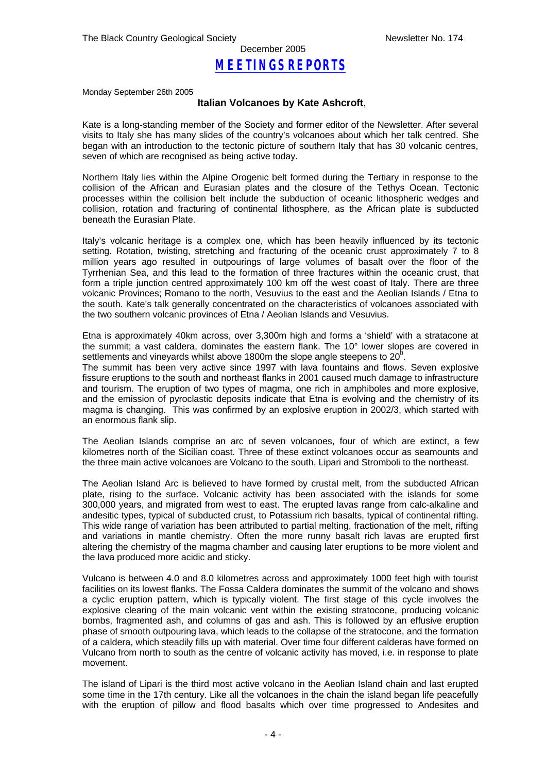### December 2005 *MEETINGS REPORTS*

Monday September 26th 2005

#### **Italian Volcanoes by Kate Ashcroft**,

Kate is a long-standing member of the Society and former editor of the Newsletter. After several visits to Italy she has many slides of the country's volcanoes about which her talk centred. She began with an introduction to the tectonic picture of southern Italy that has 30 volcanic centres, seven of which are recognised as being active today.

Northern Italy lies within the Alpine Orogenic belt formed during the Tertiary in response to the collision of the African and Eurasian plates and the closure of the Tethys Ocean. Tectonic processes within the collision belt include the subduction of oceanic lithospheric wedges and collision, rotation and fracturing of continental lithosphere, as the African plate is subducted beneath the Eurasian Plate.

Italy's volcanic heritage is a complex one, which has been heavily influenced by its tectonic setting. Rotation, twisting, stretching and fracturing of the oceanic crust approximately 7 to 8 million years ago resulted in outpourings of large volumes of basalt over the floor of the Tyrrhenian Sea, and this lead to the formation of three fractures within the oceanic crust, that form a triple junction centred approximately 100 km off the west coast of Italy. There are three volcanic Provinces; Romano to the north, Vesuvius to the east and the Aeolian Islands / Etna to the south. Kate's talk generally concentrated on the characteristics of volcanoes associated with the two southern volcanic provinces of Etna / Aeolian Islands and Vesuvius.

Etna is approximately 40km across, over 3,300m high and forms a 'shield' with a stratacone at the summit; a vast caldera, dominates the eastern flank. The 10° lower slopes are covered in settlements and vineyards whilst above 1800m the slope angle steepens to 20 $^0$ .

The summit has been very active since 1997 with lava fountains and flows. Seven explosive fissure eruptions to the south and northeast flanks in 2001 caused much damage to infrastructure and tourism. The eruption of two types of magma, one rich in amphiboles and more explosive, and the emission of pyroclastic deposits indicate that Etna is evolving and the chemistry of its magma is changing. This was confirmed by an explosive eruption in 2002/3, which started with an enormous flank slip.

The Aeolian Islands comprise an arc of seven volcanoes, four of which are extinct, a few kilometres north of the Sicilian coast. Three of these extinct volcanoes occur as seamounts and the three main active volcanoes are Volcano to the south, Lipari and Stromboli to the northeast.

The Aeolian Island Arc is believed to have formed by crustal melt, from the subducted African plate, rising to the surface. Volcanic activity has been associated with the islands for some 300,000 years, and migrated from west to east. The erupted lavas range from calc-alkaline and andesitic types, typical of subducted crust, to Potassium rich basalts, typical of continental rifting. This wide range of variation has been attributed to partial melting, fractionation of the melt, rifting and variations in mantle chemistry. Often the more runny basalt rich lavas are erupted first altering the chemistry of the magma chamber and causing later eruptions to be more violent and the lava produced more acidic and sticky.

Vulcano is between 4.0 and 8.0 kilometres across and approximately 1000 feet high with tourist facilities on its lowest flanks. The Fossa Caldera dominates the summit of the volcano and shows a cyclic eruption pattern, which is typically violent. The first stage of this cycle involves the explosive clearing of the main volcanic vent within the existing stratocone, producing volcanic bombs, fragmented ash, and columns of gas and ash. This is followed by an effusive eruption phase of smooth outpouring lava, which leads to the collapse of the stratocone, and the formation of a caldera, which steadily fills up with material. Over time four different calderas have formed on Vulcano from north to south as the centre of volcanic activity has moved, i.e. in response to plate movement.

The island of Lipari is the third most active volcano in the Aeolian Island chain and last erupted some time in the 17th century. Like all the volcanoes in the chain the island began life peacefully with the eruption of pillow and flood basalts which over time progressed to Andesites and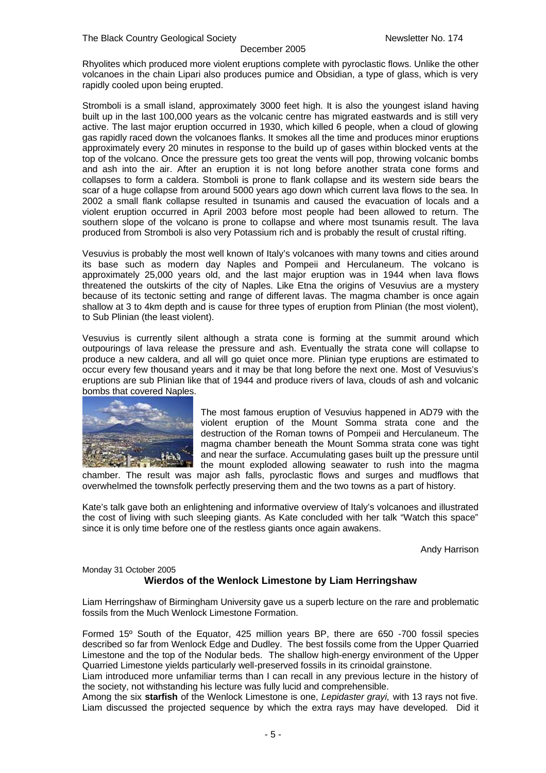Rhyolites which produced more violent eruptions complete with pyroclastic flows. Unlike the other volcanoes in the chain Lipari also produces pumice and Obsidian, a type of glass, which is very rapidly cooled upon being erupted.

Stromboli is a small island, approximately 3000 feet high. It is also the youngest island having built up in the last 100,000 years as the volcanic centre has migrated eastwards and is still very active. The last major eruption occurred in 1930, which killed 6 people, when a cloud of glowing gas rapidly raced down the volcanoes flanks. It smokes all the time and produces minor eruptions approximately every 20 minutes in response to the build up of gases within blocked vents at the top of the volcano. Once the pressure gets too great the vents will pop, throwing volcanic bombs and ash into the air. After an eruption it is not long before another strata cone forms and collapses to form a caldera. Stomboli is prone to flank collapse and its western side bears the scar of a huge collapse from around 5000 years ago down which current lava flows to the sea. In 2002 a small flank collapse resulted in tsunamis and caused the evacuation of locals and a violent eruption occurred in April 2003 before most people had been allowed to return. The southern slope of the volcano is prone to collapse and where most tsunamis result. The lava produced from Stromboli is also very Potassium rich and is probably the result of crustal rifting.

Vesuvius is probably the most well known of Italy's volcanoes with many towns and cities around its base such as modern day Naples and Pompeii and Herculaneum. The volcano is approximately 25,000 years old, and the last major eruption was in 1944 when lava flows threatened the outskirts of the city of Naples. Like Etna the origins of Vesuvius are a mystery because of its tectonic setting and range of different lavas. The magma chamber is once again shallow at 3 to 4km depth and is cause for three types of eruption from Plinian (the most violent), to Sub Plinian (the least violent).

Vesuvius is currently silent although a strata cone is forming at the summit around which outpourings of lava release the pressure and ash. Eventually the strata cone will collapse to produce a new caldera, and all will go quiet once more. Plinian type eruptions are estimated to occur every few thousand years and it may be that long before the next one. Most of Vesuvius's eruptions are sub Plinian like that of 1944 and produce rivers of lava, clouds of ash and volcanic bombs that covered Naples.



The most famous eruption of Vesuvius happened in AD79 with the violent eruption of the Mount Somma strata cone and the destruction of the Roman towns of Pompeii and Herculaneum. The magma chamber beneath the Mount Somma strata cone was tight and near the surface. Accumulating gases built up the pressure until the mount exploded allowing seawater to rush into the magma

chamber. The result was major ash falls, pyroclastic flows and surges and mudflows that overwhelmed the townsfolk perfectly preserving them and the two towns as a part of history.

Kate's talk gave both an enlightening and informative overview of Italy's volcanoes and illustrated the cost of living with such sleeping giants. As Kate concluded with her talk "Watch this space" since it is only time before one of the restless giants once again awakens.

Andy Harrison

Monday 31 October 2005

#### **Wierdos of the Wenlock Limestone by Liam Herringshaw**

Liam Herringshaw of Birmingham University gave us a superb lecture on the rare and problematic fossils from the Much Wenlock Limestone Formation.

Formed 15º South of the Equator, 425 million years BP, there are 650 -700 fossil species described so far from Wenlock Edge and Dudley. The best fossils come from the Upper Quarried Limestone and the top of the Nodular beds. The shallow high-energy environment of the Upper Quarried Limestone yields particularly well-preserved fossils in its crinoidal grainstone.

Liam introduced more unfamiliar terms than I can recall in any previous lecture in the history of the society, not withstanding his lecture was fully lucid and comprehensible.

Among the six **starfish** of the Wenlock Limestone is one, *Lepidaster grayi,* with 13 rays not five. Liam discussed the projected sequence by which the extra rays may have developed. Did it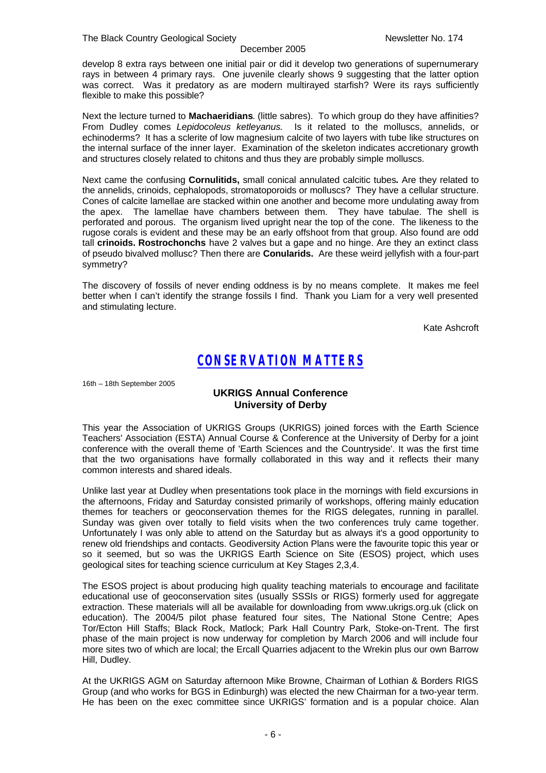develop 8 extra rays between one initial pair or did it develop two generations of supernumerary rays in between 4 primary rays. One juvenile clearly shows 9 suggesting that the latter option was correct. Was it predatory as are modern multirayed starfish? Were its rays sufficiently flexible to make this possible?

Next the lecture turned to **Machaeridians**. (little sabres). To which group do they have affinities? From Dudley comes *Lepidocoleus ketleyanus.* Is it related to the molluscs, annelids, or echinoderms? It has a sclerite of low magnesium calcite of two layers with tube like structures on the internal surface of the inner layer. Examination of the skeleton indicates accretionary growth and structures closely related to chitons and thus they are probably simple molluscs.

Next came the confusing **Cornulitids,** small conical annulated calcitic tubes**.** Are they related to the annelids, crinoids, cephalopods, stromatoporoids or molluscs? They have a cellular structure. Cones of calcite lamellae are stacked within one another and become more undulating away from the apex. The lamellae have chambers between them. They have tabulae. The shell is perforated and porous. The organism lived upright near the top of the cone. The likeness to the rugose corals is evident and these may be an early offshoot from that group. Also found are odd tall **crinoids. Rostrochonchs** have 2 valves but a gape and no hinge. Are they an extinct class of pseudo bivalved mollusc? Then there are **Conularids.** Are these weird jellyfish with a four-part symmetry?

The discovery of fossils of never ending oddness is by no means complete. It makes me feel better when I can't identify the strange fossils I find. Thank you Liam for a very well presented and stimulating lecture.

Kate Ashcroft

### *CONSERVATION MATTERS*

16th – 18th September 2005

#### **UKRIGS Annual Conference University of Derby**

This year the Association of UKRIGS Groups (UKRIGS) joined forces with the Earth Science Teachers' Association (ESTA) Annual Course & Conference at the University of Derby for a joint conference with the overall theme of 'Earth Sciences and the Countryside'. It was the first time that the two organisations have formally collaborated in this way and it reflects their many common interests and shared ideals.

Unlike last year at Dudley when presentations took place in the mornings with field excursions in the afternoons, Friday and Saturday consisted primarily of workshops, offering mainly education themes for teachers or geoconservation themes for the RIGS delegates, running in parallel. Sunday was given over totally to field visits when the two conferences truly came together. Unfortunately I was only able to attend on the Saturday but as always it's a good opportunity to renew old friendships and contacts. Geodiversity Action Plans were the favourite topic this year or so it seemed, but so was the UKRIGS Earth Science on Site (ESOS) project, which uses geological sites for teaching science curriculum at Key Stages 2,3,4.

The ESOS project is about producing high quality teaching materials to encourage and facilitate educational use of geoconservation sites (usually SSSIs or RIGS) formerly used for aggregate extraction. These materials will all be available for downloading from www.ukrigs.org.uk (click on education). The 2004/5 pilot phase featured four sites, The National Stone Centre; Apes Tor/Ecton Hill Staffs; Black Rock, Matlock; Park Hall Country Park, Stoke-on-Trent. The first phase of the main project is now underway for completion by March 2006 and will include four more sites two of which are local; the Ercall Quarries adjacent to the Wrekin plus our own Barrow Hill, Dudley.

At the UKRIGS AGM on Saturday afternoon Mike Browne, Chairman of Lothian & Borders RIGS Group (and who works for BGS in Edinburgh) was elected the new Chairman for a two-year term. He has been on the exec committee since UKRIGS' formation and is a popular choice. Alan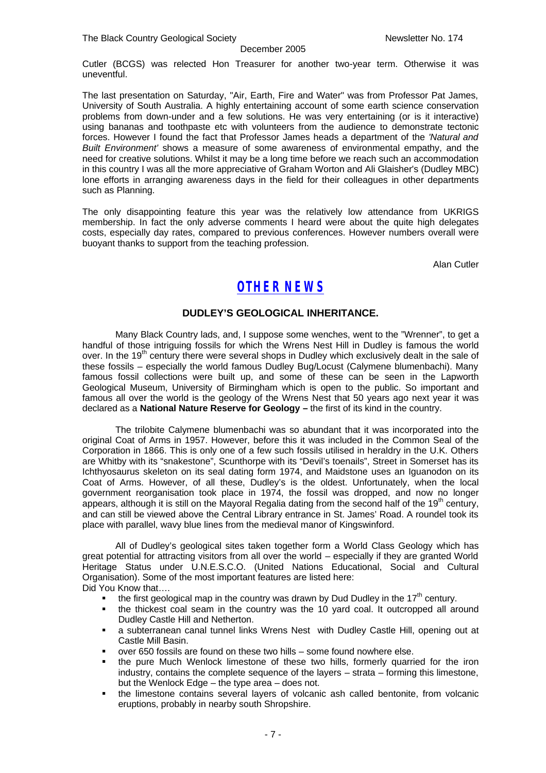Cutler (BCGS) was relected Hon Treasurer for another two-year term. Otherwise it was uneventful.

The last presentation on Saturday, "Air, Earth, Fire and Water" was from Professor Pat James, University of South Australia. A highly entertaining account of some earth science conservation problems from down-under and a few solutions. He was very entertaining (or is it interactive) using bananas and toothpaste etc with volunteers from the audience to demonstrate tectonic forces. However I found the fact that Professor James heads a department of the *'Natural and Built Environment'* shows a measure of some awareness of environmental empathy, and the need for creative solutions. Whilst it may be a long time before we reach such an accommodation in this country I was all the more appreciative of Graham Worton and Ali Glaisher's (Dudley MBC) lone efforts in arranging awareness days in the field for their colleagues in other departments such as Planning.

The only disappointing feature this year was the relatively low attendance from UKRIGS membership. In fact the only adverse comments I heard were about the quite high delegates costs, especially day rates, compared to previous conferences. However numbers overall were buoyant thanks to support from the teaching profession.

Alan Cutler

### *OTHER NEWS*

#### **DUDLEY'S GEOLOGICAL INHERITANCE.**

Many Black Country lads, and, I suppose some wenches, went to the "Wrenner", to get a handful of those intriguing fossils for which the Wrens Nest Hill in Dudley is famous the world over. In the 19<sup>th</sup> century there were several shops in Dudley which exclusively dealt in the sale of these fossils – especially the world famous Dudley Bug/Locust (Calymene blumenbachi). Many famous fossil collections were built up, and some of these can be seen in the Lapworth Geological Museum, University of Birmingham which is open to the public. So important and famous all over the world is the geology of the Wrens Nest that 50 years ago next year it was declared as a **National Nature Reserve for Geology –** the first of its kind in the country.

The trilobite Calymene blumenbachi was so abundant that it was incorporated into the original Coat of Arms in 1957. However, before this it was included in the Common Seal of the Corporation in 1866. This is only one of a few such fossils utilised in heraldry in the U.K. Others are Whitby with its "snakestone", Scunthorpe with its "Devil's toenails", Street in Somerset has its Ichthyosaurus skeleton on its seal dating form 1974, and Maidstone uses an Iguanodon on its Coat of Arms. However, of all these, Dudley's is the oldest. Unfortunately, when the local government reorganisation took place in 1974, the fossil was dropped, and now no longer appears, although it is still on the Mayoral Regalia dating from the second half of the  $19<sup>th</sup>$  century, and can still be viewed above the Central Library entrance in St. James' Road. A roundel took its place with parallel, wavy blue lines from the medieval manor of Kingswinford.

All of Dudley's geological sites taken together form a World Class Geology which has great potential for attracting visitors from all over the world – especially if they are granted World Heritage Status under U.N.E.S.C.O. (United Nations Educational, Social and Cultural Organisation). Some of the most important features are listed here:

Did You Know that….

- the first geological map in the country was drawn by Dud Dudley in the  $17<sup>th</sup>$  century.
- ß the thickest coal seam in the country was the 10 yard coal. It outcropped all around Dudley Castle Hill and Netherton.
- ß a subterranean canal tunnel links Wrens Nest with Dudley Castle Hill, opening out at Castle Mill Basin.
- ß over 650 fossils are found on these two hills some found nowhere else.
- ß the pure Much Wenlock limestone of these two hills, formerly quarried for the iron industry, contains the complete sequence of the layers – strata – forming this limestone, but the Wenlock Edge – the type area – does not.
- ß the limestone contains several layers of volcanic ash called bentonite, from volcanic eruptions, probably in nearby south Shropshire.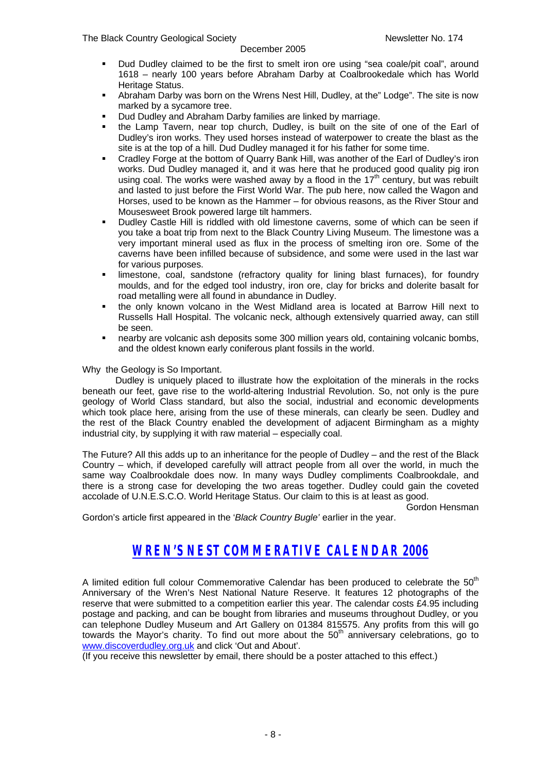- ß Dud Dudley claimed to be the first to smelt iron ore using "sea coale/pit coal", around 1618 – nearly 100 years before Abraham Darby at Coalbrookedale which has World Heritage Status.
- ß Abraham Darby was born on the Wrens Nest Hill, Dudley, at the" Lodge". The site is now marked by a sycamore tree.
- ß Dud Dudley and Abraham Darby families are linked by marriage.
- ß the Lamp Tavern, near top church, Dudley, is built on the site of one of the Earl of Dudley's iron works. They used horses instead of waterpower to create the blast as the site is at the top of a hill. Dud Dudley managed it for his father for some time.
- ß Cradley Forge at the bottom of Quarry Bank Hill, was another of the Earl of Dudley's iron works. Dud Dudley managed it, and it was here that he produced good quality pig iron using coal. The works were washed away by a flood in the  $17<sup>th</sup>$  century, but was rebuilt and lasted to just before the First World War. The pub here, now called the Wagon and Horses, used to be known as the Hammer – for obvious reasons, as the River Stour and Mousesweet Brook powered large tilt hammers.
- ß Dudley Castle Hill is riddled with old limestone caverns, some of which can be seen if you take a boat trip from next to the Black Country Living Museum. The limestone was a very important mineral used as flux in the process of smelting iron ore. Some of the caverns have been infilled because of subsidence, and some were used in the last war for various purposes.
- ß limestone, coal, sandstone (refractory quality for lining blast furnaces), for foundry moulds, and for the edged tool industry, iron ore, clay for bricks and dolerite basalt for road metalling were all found in abundance in Dudley.
- ß the only known volcano in the West Midland area is located at Barrow Hill next to Russells Hall Hospital. The volcanic neck, although extensively quarried away, can still be seen.
- ß nearby are volcanic ash deposits some 300 million years old, containing volcanic bombs, and the oldest known early coniferous plant fossils in the world.

Why the Geology is So Important.

Dudley is uniquely placed to illustrate how the exploitation of the minerals in the rocks beneath our feet, gave rise to the world-altering Industrial Revolution. So, not only is the pure geology of World Class standard, but also the social, industrial and economic developments which took place here, arising from the use of these minerals, can clearly be seen. Dudley and the rest of the Black Country enabled the development of adjacent Birmingham as a mighty industrial city, by supplying it with raw material – especially coal.

The Future? All this adds up to an inheritance for the people of Dudley – and the rest of the Black Country – which, if developed carefully will attract people from all over the world, in much the same way Coalbrookdale does now. In many ways Dudley compliments Coalbrookdale, and there is a strong case for developing the two areas together. Dudley could gain the coveted accolade of U.N.E.S.C.O. World Heritage Status. Our claim to this is at least as good.

Gordon Hensman

Gordon's article first appeared in the '*Black Country Bugle'* earlier in the year.

### *WREN'S NEST COMMERATIVE CALENDAR 2006*

A limited edition full colour Commemorative Calendar has been produced to celebrate the 50<sup>th</sup> Anniversary of the Wren's Nest National Nature Reserve. It features 12 photographs of the reserve that were submitted to a competition earlier this year. The calendar costs £4.95 including postage and packing, and can be bought from libraries and museums throughout Dudley, or you can telephone Dudley Museum and Art Gallery on 01384 815575. Any profits from this will go towards the Mayor's charity. To find out more about the 50<sup>th</sup> anniversary celebrations, go to www.discoverdudley.org.uk and click 'Out and About'.

(If you receive this newsletter by email, there should be a poster attached to this effect.)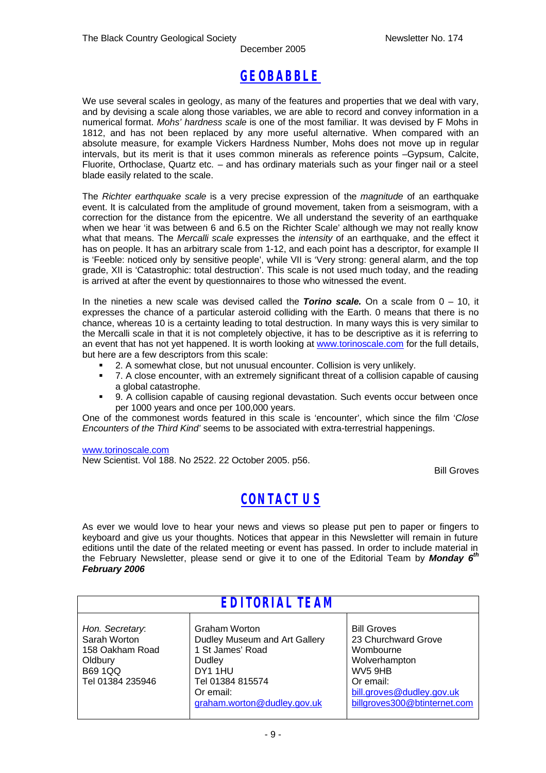# *GEOBABBLE*

We use several scales in geology, as many of the features and properties that we deal with vary, and by devising a scale along those variables, we are able to record and convey information in a numerical format. *Mohs' hardness scale* is one of the most familiar. It was devised by F Mohs in 1812, and has not been replaced by any more useful alternative. When compared with an absolute measure, for example Vickers Hardness Number, Mohs does not move up in regular intervals, but its merit is that it uses common minerals as reference points –Gypsum, Calcite, Fluorite, Orthoclase, Quartz etc. – and has ordinary materials such as your finger nail or a steel blade easily related to the scale.

The *Richter earthquake scale* is a very precise expression of the *magnitude* of an earthquake event. It is calculated from the amplitude of ground movement, taken from a seismogram, with a correction for the distance from the epicentre. We all understand the severity of an earthquake when we hear 'it was between 6 and 6.5 on the Richter Scale' although we may not really know what that means. The *Mercalli scale* expresses the *intensity* of an earthquake, and the effect it has on people. It has an arbitrary scale from 1-12, and each point has a descriptor, for example II is 'Feeble: noticed only by sensitive people', while VII is 'Very strong: general alarm, and the top grade, XII is 'Catastrophic: total destruction'. This scale is not used much today, and the reading is arrived at after the event by questionnaires to those who witnessed the event.

In the nineties a new scale was devised called the *Torino scale.* On a scale from 0 – 10, it expresses the chance of a particular asteroid colliding with the Earth. 0 means that there is no chance, whereas 10 is a certainty leading to total destruction. In many ways this is very similar to the Mercalli scale in that it is not completely objective, it has to be descriptive as it is referring to an event that has not yet happened. It is worth looking at www.torinoscale.com for the full details, but here are a few descriptors from this scale:

- ß 2. A somewhat close, but not unusual encounter. Collision is very unlikely.
- ß 7. A close encounter, with an extremely significant threat of a collision capable of causing a global catastrophe.
- ß 9. A collision capable of causing regional devastation. Such events occur between once per 1000 years and once per 100,000 years.

One of the commonest words featured in this scale is 'encounter', which since the film '*Close Encounters of the Third Kind'* seems to be associated with extra-terrestrial happenings.

#### www.torinoscale.com

New Scientist. Vol 188. No 2522. 22 October 2005. p56.

Bill Groves

### *CONTACT US*

As ever we would love to hear your news and views so please put pen to paper or fingers to keyboard and give us your thoughts. Notices that appear in this Newsletter will remain in future editions until the date of the related meeting or event has passed. In order to include material in the February Newsletter, please send or give it to one of the Editorial Team by *Monday 6 th February 2006*

| EDITORIAL TEAM                                                                                      |                                                                                                                                                                |                                                                                                                                                                          |  |  |
|-----------------------------------------------------------------------------------------------------|----------------------------------------------------------------------------------------------------------------------------------------------------------------|--------------------------------------------------------------------------------------------------------------------------------------------------------------------------|--|--|
| Hon. Secretary:<br>Sarah Worton<br>158 Oakham Road<br>Oldbury<br><b>B69 1QQ</b><br>Tel 01384 235946 | <b>Graham Worton</b><br>Dudley Museum and Art Gallery<br>1 St James' Road<br>Dudley<br>DY1 1HU<br>Tel 01384 815574<br>Or email:<br>graham.worton@dudley.gov.uk | <b>Bill Groves</b><br>23 Churchward Grove<br>Wombourne<br>Wolverhampton<br>WV <sub>5</sub> 9HB<br>Or email:<br>bill.groves@dudley.gov.uk<br>billgroves300@btinternet.com |  |  |